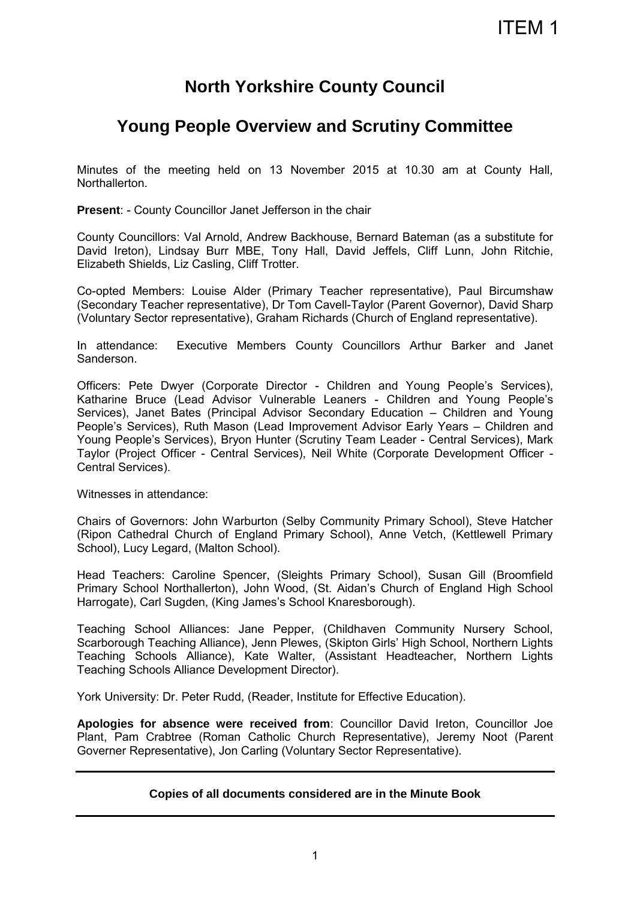# **North Yorkshire County Council**

# **Young People Overview and Scrutiny Committee**

Minutes of the meeting held on 13 November 2015 at 10.30 am at County Hall, **Northallerton** 

**Present**: - County Councillor Janet Jefferson in the chair

County Councillors: Val Arnold, Andrew Backhouse, Bernard Bateman (as a substitute for David Ireton), Lindsay Burr MBE, Tony Hall, David Jeffels, Cliff Lunn, John Ritchie, Elizabeth Shields, Liz Casling, Cliff Trotter.

Co-opted Members: Louise Alder (Primary Teacher representative), Paul Bircumshaw (Secondary Teacher representative), Dr Tom Cavell-Taylor (Parent Governor), David Sharp (Voluntary Sector representative), Graham Richards (Church of England representative).

In attendance: Executive Members County Councillors Arthur Barker and Janet Sanderson.

Officers: Pete Dwyer (Corporate Director - Children and Young People's Services), Katharine Bruce (Lead Advisor Vulnerable Leaners - Children and Young People's Services), Janet Bates (Principal Advisor Secondary Education – Children and Young People's Services), Ruth Mason (Lead Improvement Advisor Early Years – Children and Young People's Services), Bryon Hunter (Scrutiny Team Leader - Central Services), Mark Taylor (Project Officer - Central Services), Neil White (Corporate Development Officer - Central Services).

Witnesses in attendance:

Chairs of Governors: John Warburton (Selby Community Primary School), Steve Hatcher (Ripon Cathedral Church of England Primary School), Anne Vetch, (Kettlewell Primary School), Lucy Legard, (Malton School).

Head Teachers: Caroline Spencer, (Sleights Primary School), Susan Gill (Broomfield Primary School Northallerton), John Wood, (St. Aidan's Church of England High School Harrogate), Carl Sugden, (King James's School Knaresborough).

Teaching School Alliances: Jane Pepper, (Childhaven Community Nursery School, Scarborough Teaching Alliance), Jenn Plewes, (Skipton Girls' High School, Northern Lights Teaching Schools Alliance), Kate Walter, (Assistant Headteacher, Northern Lights Teaching Schools Alliance Development Director).

York University: Dr. Peter Rudd, (Reader, Institute for Effective Education).

**Apologies for absence were received from**: Councillor David Ireton, Councillor Joe Plant, Pam Crabtree (Roman Catholic Church Representative), Jeremy Noot (Parent Governer Representative), Jon Carling (Voluntary Sector Representative).

## **Copies of all documents considered are in the Minute Book**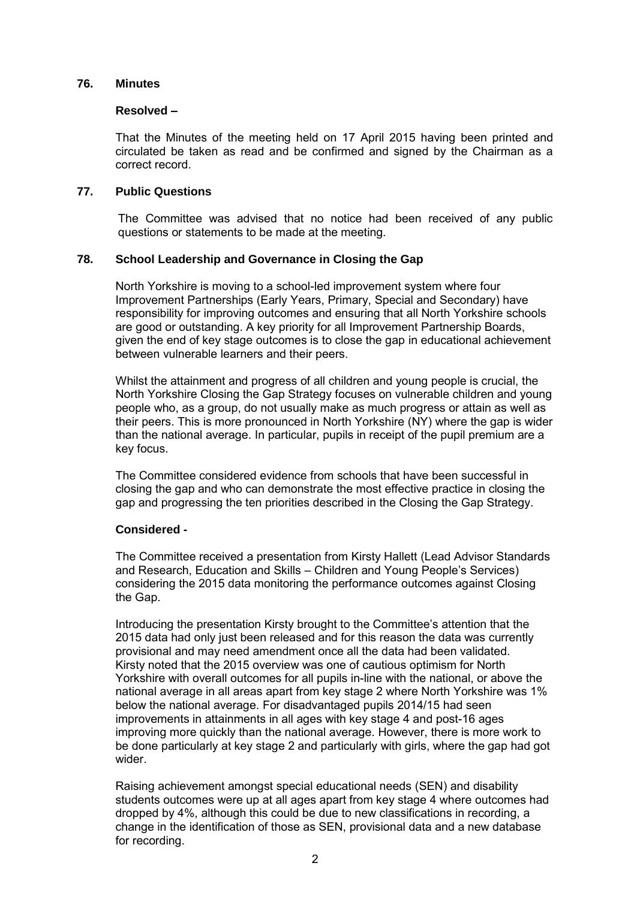#### **76. Minutes**

#### **Resolved –**

That the Minutes of the meeting held on 17 April 2015 having been printed and circulated be taken as read and be confirmed and signed by the Chairman as a correct record.

#### **77. Public Questions**

The Committee was advised that no notice had been received of any public questions or statements to be made at the meeting.

## **78. School Leadership and Governance in Closing the Gap**

North Yorkshire is moving to a school-led improvement system where four Improvement Partnerships (Early Years, Primary, Special and Secondary) have responsibility for improving outcomes and ensuring that all North Yorkshire schools are good or outstanding. A key priority for all Improvement Partnership Boards, given the end of key stage outcomes is to close the gap in educational achievement between vulnerable learners and their peers.

Whilst the attainment and progress of all children and young people is crucial, the North Yorkshire Closing the Gap Strategy focuses on vulnerable children and young people who, as a group, do not usually make as much progress or attain as well as their peers. This is more pronounced in North Yorkshire (NY) where the gap is wider than the national average. In particular, pupils in receipt of the pupil premium are a key focus.

The Committee considered evidence from schools that have been successful in closing the gap and who can demonstrate the most effective practice in closing the gap and progressing the ten priorities described in the Closing the Gap Strategy.

#### **Considered -**

The Committee received a presentation from Kirsty Hallett (Lead Advisor Standards and Research, Education and Skills – Children and Young People's Services) considering the 2015 data monitoring the performance outcomes against Closing the Gap.

Introducing the presentation Kirsty brought to the Committee's attention that the 2015 data had only just been released and for this reason the data was currently provisional and may need amendment once all the data had been validated. Kirsty noted that the 2015 overview was one of cautious optimism for North Yorkshire with overall outcomes for all pupils in-line with the national, or above the national average in all areas apart from key stage 2 where North Yorkshire was 1% below the national average. For disadvantaged pupils 2014/15 had seen improvements in attainments in all ages with key stage 4 and post-16 ages improving more quickly than the national average. However, there is more work to be done particularly at key stage 2 and particularly with girls, where the gap had got wider.

Raising achievement amongst special educational needs (SEN) and disability students outcomes were up at all ages apart from key stage 4 where outcomes had dropped by 4%, although this could be due to new classifications in recording, a change in the identification of those as SEN, provisional data and a new database for recording.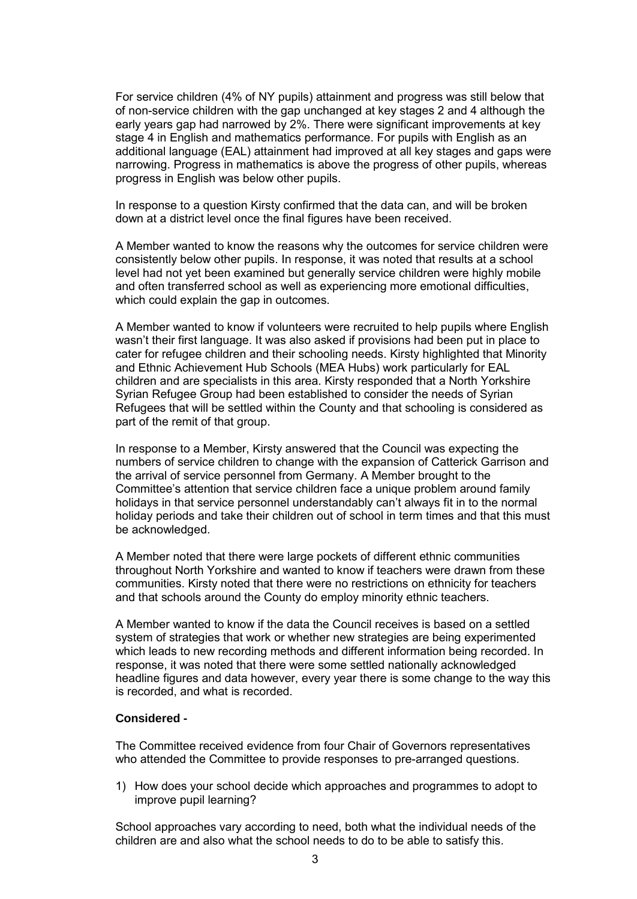For service children (4% of NY pupils) attainment and progress was still below that of non-service children with the gap unchanged at key stages 2 and 4 although the early years gap had narrowed by 2%. There were significant improvements at key stage 4 in English and mathematics performance. For pupils with English as an additional language (EAL) attainment had improved at all key stages and gaps were narrowing. Progress in mathematics is above the progress of other pupils, whereas progress in English was below other pupils.

In response to a question Kirsty confirmed that the data can, and will be broken down at a district level once the final figures have been received.

A Member wanted to know the reasons why the outcomes for service children were consistently below other pupils. In response, it was noted that results at a school level had not yet been examined but generally service children were highly mobile and often transferred school as well as experiencing more emotional difficulties, which could explain the gap in outcomes.

A Member wanted to know if volunteers were recruited to help pupils where English wasn't their first language. It was also asked if provisions had been put in place to cater for refugee children and their schooling needs. Kirsty highlighted that Minority and Ethnic Achievement Hub Schools (MEA Hubs) work particularly for EAL children and are specialists in this area. Kirsty responded that a North Yorkshire Syrian Refugee Group had been established to consider the needs of Syrian Refugees that will be settled within the County and that schooling is considered as part of the remit of that group.

In response to a Member, Kirsty answered that the Council was expecting the numbers of service children to change with the expansion of Catterick Garrison and the arrival of service personnel from Germany. A Member brought to the Committee's attention that service children face a unique problem around family holidays in that service personnel understandably can't always fit in to the normal holiday periods and take their children out of school in term times and that this must be acknowledged.

A Member noted that there were large pockets of different ethnic communities throughout North Yorkshire and wanted to know if teachers were drawn from these communities. Kirsty noted that there were no restrictions on ethnicity for teachers and that schools around the County do employ minority ethnic teachers.

A Member wanted to know if the data the Council receives is based on a settled system of strategies that work or whether new strategies are being experimented which leads to new recording methods and different information being recorded. In response, it was noted that there were some settled nationally acknowledged headline figures and data however, every year there is some change to the way this is recorded, and what is recorded.

## **Considered -**

The Committee received evidence from four Chair of Governors representatives who attended the Committee to provide responses to pre-arranged questions.

1) How does your school decide which approaches and programmes to adopt to improve pupil learning?

School approaches vary according to need, both what the individual needs of the children are and also what the school needs to do to be able to satisfy this.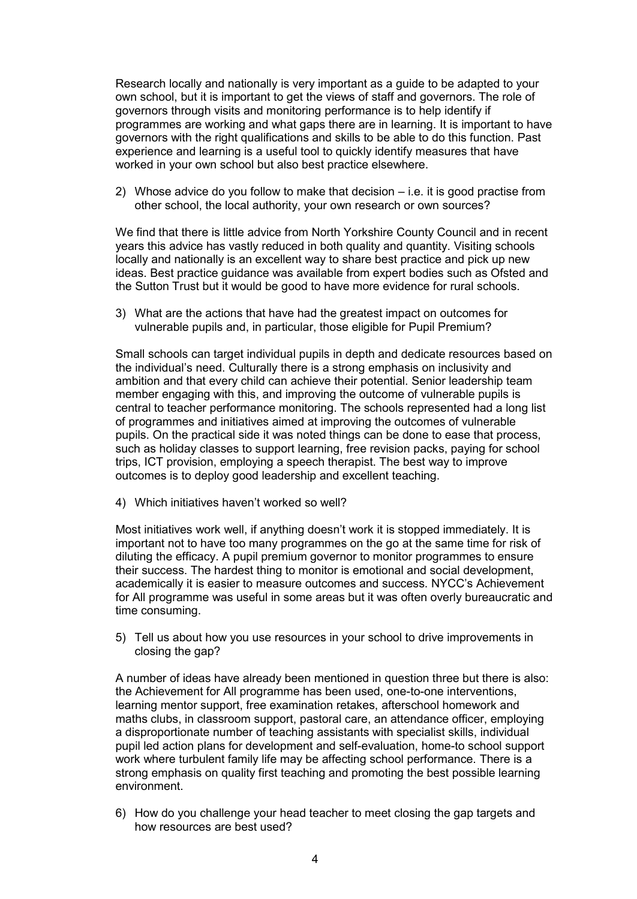Research locally and nationally is very important as a guide to be adapted to your own school, but it is important to get the views of staff and governors. The role of governors through visits and monitoring performance is to help identify if programmes are working and what gaps there are in learning. It is important to have governors with the right qualifications and skills to be able to do this function. Past experience and learning is a useful tool to quickly identify measures that have worked in your own school but also best practice elsewhere.

2) Whose advice do you follow to make that decision – i.e. it is good practise from other school, the local authority, your own research or own sources?

We find that there is little advice from North Yorkshire County Council and in recent years this advice has vastly reduced in both quality and quantity. Visiting schools locally and nationally is an excellent way to share best practice and pick up new ideas. Best practice guidance was available from expert bodies such as Ofsted and the Sutton Trust but it would be good to have more evidence for rural schools.

3) What are the actions that have had the greatest impact on outcomes for vulnerable pupils and, in particular, those eligible for Pupil Premium?

Small schools can target individual pupils in depth and dedicate resources based on the individual's need. Culturally there is a strong emphasis on inclusivity and ambition and that every child can achieve their potential. Senior leadership team member engaging with this, and improving the outcome of vulnerable pupils is central to teacher performance monitoring. The schools represented had a long list of programmes and initiatives aimed at improving the outcomes of vulnerable pupils. On the practical side it was noted things can be done to ease that process, such as holiday classes to support learning, free revision packs, paying for school trips, ICT provision, employing a speech therapist. The best way to improve outcomes is to deploy good leadership and excellent teaching.

4) Which initiatives haven't worked so well?

Most initiatives work well, if anything doesn't work it is stopped immediately. It is important not to have too many programmes on the go at the same time for risk of diluting the efficacy. A pupil premium governor to monitor programmes to ensure their success. The hardest thing to monitor is emotional and social development, academically it is easier to measure outcomes and success. NYCC's Achievement for All programme was useful in some areas but it was often overly bureaucratic and time consuming.

5) Tell us about how you use resources in your school to drive improvements in closing the gap?

A number of ideas have already been mentioned in question three but there is also: the Achievement for All programme has been used, one-to-one interventions, learning mentor support, free examination retakes, afterschool homework and maths clubs, in classroom support, pastoral care, an attendance officer, employing a disproportionate number of teaching assistants with specialist skills, individual pupil led action plans for development and self-evaluation, home-to school support work where turbulent family life may be affecting school performance. There is a strong emphasis on quality first teaching and promoting the best possible learning environment.

6) How do you challenge your head teacher to meet closing the gap targets and how resources are best used?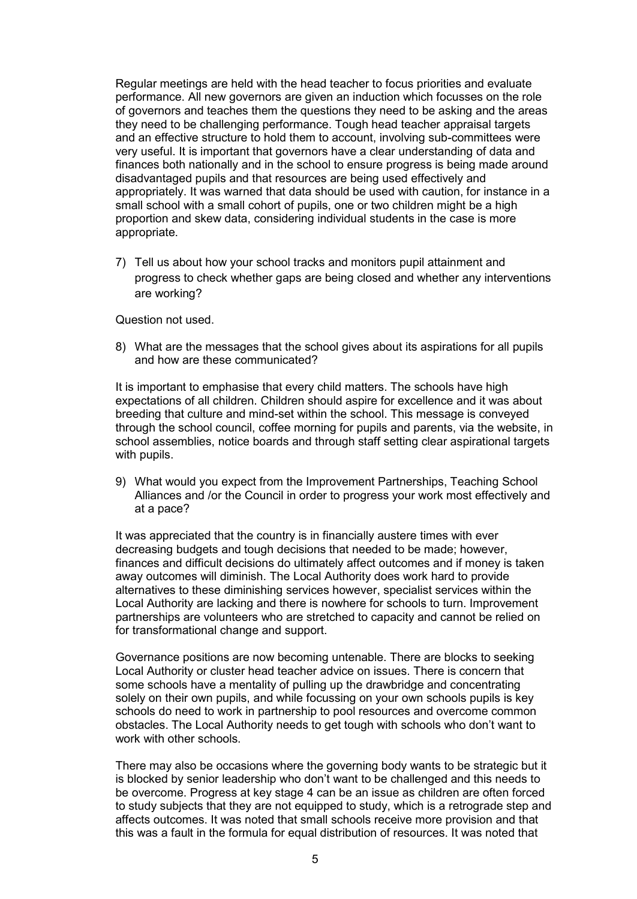Regular meetings are held with the head teacher to focus priorities and evaluate performance. All new governors are given an induction which focusses on the role of governors and teaches them the questions they need to be asking and the areas they need to be challenging performance. Tough head teacher appraisal targets and an effective structure to hold them to account, involving sub-committees were very useful. It is important that governors have a clear understanding of data and finances both nationally and in the school to ensure progress is being made around disadvantaged pupils and that resources are being used effectively and appropriately. It was warned that data should be used with caution, for instance in a small school with a small cohort of pupils, one or two children might be a high proportion and skew data, considering individual students in the case is more appropriate.

7) Tell us about how your school tracks and monitors pupil attainment and progress to check whether gaps are being closed and whether any interventions are working?

Question not used.

8) What are the messages that the school gives about its aspirations for all pupils and how are these communicated?

It is important to emphasise that every child matters. The schools have high expectations of all children. Children should aspire for excellence and it was about breeding that culture and mind-set within the school. This message is conveyed through the school council, coffee morning for pupils and parents, via the website, in school assemblies, notice boards and through staff setting clear aspirational targets with pupils.

9) What would you expect from the Improvement Partnerships, Teaching School Alliances and /or the Council in order to progress your work most effectively and at a pace?

It was appreciated that the country is in financially austere times with ever decreasing budgets and tough decisions that needed to be made; however, finances and difficult decisions do ultimately affect outcomes and if money is taken away outcomes will diminish. The Local Authority does work hard to provide alternatives to these diminishing services however, specialist services within the Local Authority are lacking and there is nowhere for schools to turn. Improvement partnerships are volunteers who are stretched to capacity and cannot be relied on for transformational change and support.

Governance positions are now becoming untenable. There are blocks to seeking Local Authority or cluster head teacher advice on issues. There is concern that some schools have a mentality of pulling up the drawbridge and concentrating solely on their own pupils, and while focussing on your own schools pupils is key schools do need to work in partnership to pool resources and overcome common obstacles. The Local Authority needs to get tough with schools who don't want to work with other schools.

There may also be occasions where the governing body wants to be strategic but it is blocked by senior leadership who don't want to be challenged and this needs to be overcome. Progress at key stage 4 can be an issue as children are often forced to study subjects that they are not equipped to study, which is a retrograde step and affects outcomes. It was noted that small schools receive more provision and that this was a fault in the formula for equal distribution of resources. It was noted that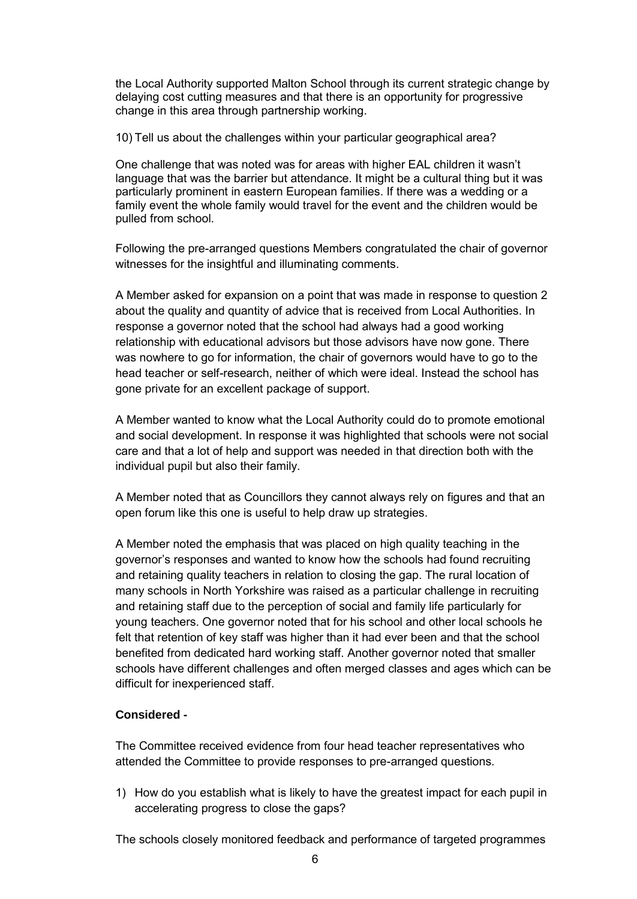the Local Authority supported Malton School through its current strategic change by delaying cost cutting measures and that there is an opportunity for progressive change in this area through partnership working.

10) Tell us about the challenges within your particular geographical area?

One challenge that was noted was for areas with higher EAL children it wasn't language that was the barrier but attendance. It might be a cultural thing but it was particularly prominent in eastern European families. If there was a wedding or a family event the whole family would travel for the event and the children would be pulled from school.

Following the pre-arranged questions Members congratulated the chair of governor witnesses for the insightful and illuminating comments.

A Member asked for expansion on a point that was made in response to question 2 about the quality and quantity of advice that is received from Local Authorities. In response a governor noted that the school had always had a good working relationship with educational advisors but those advisors have now gone. There was nowhere to go for information, the chair of governors would have to go to the head teacher or self-research, neither of which were ideal. Instead the school has gone private for an excellent package of support.

A Member wanted to know what the Local Authority could do to promote emotional and social development. In response it was highlighted that schools were not social care and that a lot of help and support was needed in that direction both with the individual pupil but also their family.

A Member noted that as Councillors they cannot always rely on figures and that an open forum like this one is useful to help draw up strategies.

A Member noted the emphasis that was placed on high quality teaching in the governor's responses and wanted to know how the schools had found recruiting and retaining quality teachers in relation to closing the gap. The rural location of many schools in North Yorkshire was raised as a particular challenge in recruiting and retaining staff due to the perception of social and family life particularly for young teachers. One governor noted that for his school and other local schools he felt that retention of key staff was higher than it had ever been and that the school benefited from dedicated hard working staff. Another governor noted that smaller schools have different challenges and often merged classes and ages which can be difficult for inexperienced staff.

# **Considered -**

The Committee received evidence from four head teacher representatives who attended the Committee to provide responses to pre-arranged questions.

1) How do you establish what is likely to have the greatest impact for each pupil in accelerating progress to close the gaps?

The schools closely monitored feedback and performance of targeted programmes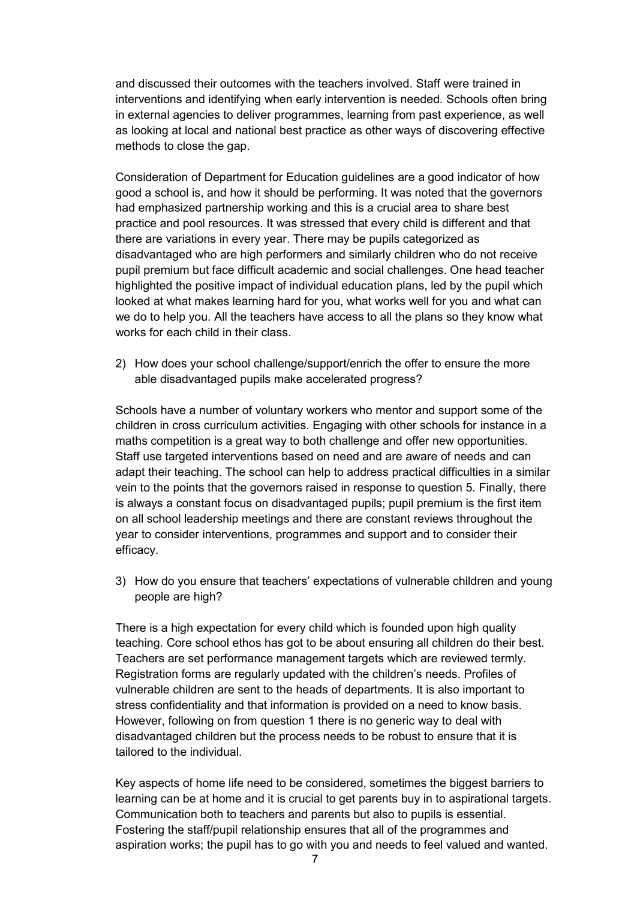and discussed their outcomes with the teachers involved. Staff were trained in interventions and identifying when early intervention is needed. Schools often bring in external agencies to deliver programmes, learning from past experience, as well as looking at local and national best practice as other ways of discovering effective methods to close the gap.

Consideration of Department for Education guidelines are a good indicator of how good a school is, and how it should be performing. It was noted that the governors had emphasized partnership working and this is a crucial area to share best practice and pool resources. It was stressed that every child is different and that there are variations in every year. There may be pupils categorized as disadvantaged who are high performers and similarly children who do not receive pupil premium but face difficult academic and social challenges. One head teacher highlighted the positive impact of individual education plans, led by the pupil which looked at what makes learning hard for you, what works well for you and what can we do to help you. All the teachers have access to all the plans so they know what works for each child in their class.

2) How does your school challenge/support/enrich the offer to ensure the more able disadvantaged pupils make accelerated progress?

Schools have a number of voluntary workers who mentor and support some of the children in cross curriculum activities. Engaging with other schools for instance in a maths competition is a great way to both challenge and offer new opportunities. Staff use targeted interventions based on need and are aware of needs and can adapt their teaching. The school can help to address practical difficulties in a similar vein to the points that the governors raised in response to question 5. Finally, there is always a constant focus on disadvantaged pupils; pupil premium is the first item on all school leadership meetings and there are constant reviews throughout the year to consider interventions, programmes and support and to consider their efficacy.

3) How do you ensure that teachers' expectations of vulnerable children and young people are high?

There is a high expectation for every child which is founded upon high quality teaching. Core school ethos has got to be about ensuring all children do their best. Teachers are set performance management targets which are reviewed termly. Registration forms are regularly updated with the children's needs. Profiles of vulnerable children are sent to the heads of departments. It is also important to stress confidentiality and that information is provided on a need to know basis. However, following on from question 1 there is no generic way to deal with disadvantaged children but the process needs to be robust to ensure that it is tailored to the individual.

Key aspects of home life need to be considered, sometimes the biggest barriers to learning can be at home and it is crucial to get parents buy in to aspirational targets. Communication both to teachers and parents but also to pupils is essential. Fostering the staff/pupil relationship ensures that all of the programmes and aspiration works; the pupil has to go with you and needs to feel valued and wanted.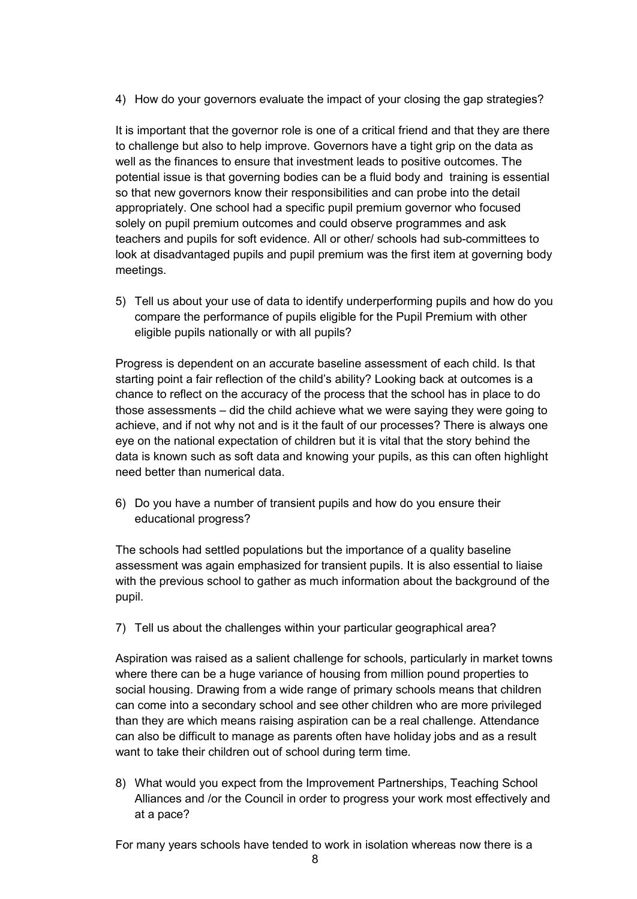4) How do your governors evaluate the impact of your closing the gap strategies?

It is important that the governor role is one of a critical friend and that they are there to challenge but also to help improve. Governors have a tight grip on the data as well as the finances to ensure that investment leads to positive outcomes. The potential issue is that governing bodies can be a fluid body and training is essential so that new governors know their responsibilities and can probe into the detail appropriately. One school had a specific pupil premium governor who focused solely on pupil premium outcomes and could observe programmes and ask teachers and pupils for soft evidence. All or other/ schools had sub-committees to look at disadvantaged pupils and pupil premium was the first item at governing body meetings.

5) Tell us about your use of data to identify underperforming pupils and how do you compare the performance of pupils eligible for the Pupil Premium with other eligible pupils nationally or with all pupils?

Progress is dependent on an accurate baseline assessment of each child. Is that starting point a fair reflection of the child's ability? Looking back at outcomes is a chance to reflect on the accuracy of the process that the school has in place to do those assessments – did the child achieve what we were saying they were going to achieve, and if not why not and is it the fault of our processes? There is always one eye on the national expectation of children but it is vital that the story behind the data is known such as soft data and knowing your pupils, as this can often highlight need better than numerical data.

6) Do you have a number of transient pupils and how do you ensure their educational progress?

The schools had settled populations but the importance of a quality baseline assessment was again emphasized for transient pupils. It is also essential to liaise with the previous school to gather as much information about the background of the pupil.

7) Tell us about the challenges within your particular geographical area?

Aspiration was raised as a salient challenge for schools, particularly in market towns where there can be a huge variance of housing from million pound properties to social housing. Drawing from a wide range of primary schools means that children can come into a secondary school and see other children who are more privileged than they are which means raising aspiration can be a real challenge. Attendance can also be difficult to manage as parents often have holiday jobs and as a result want to take their children out of school during term time.

8) What would you expect from the Improvement Partnerships, Teaching School Alliances and /or the Council in order to progress your work most effectively and at a pace?

For many years schools have tended to work in isolation whereas now there is a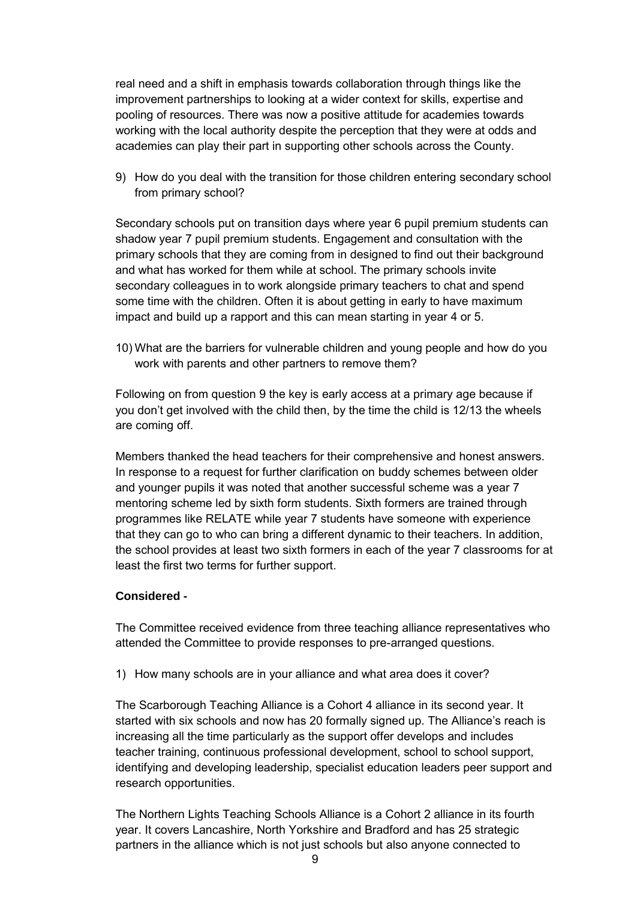real need and a shift in emphasis towards collaboration through things like the improvement partnerships to looking at a wider context for skills, expertise and pooling of resources. There was now a positive attitude for academies towards working with the local authority despite the perception that they were at odds and academies can play their part in supporting other schools across the County.

9) How do you deal with the transition for those children entering secondary school from primary school?

Secondary schools put on transition days where year 6 pupil premium students can shadow year 7 pupil premium students. Engagement and consultation with the primary schools that they are coming from in designed to find out their background and what has worked for them while at school. The primary schools invite secondary colleagues in to work alongside primary teachers to chat and spend some time with the children. Often it is about getting in early to have maximum impact and build up a rapport and this can mean starting in year 4 or 5.

10) What are the barriers for vulnerable children and young people and how do you work with parents and other partners to remove them?

Following on from question 9 the key is early access at a primary age because if you don't get involved with the child then, by the time the child is 12/13 the wheels are coming off.

Members thanked the head teachers for their comprehensive and honest answers. In response to a request for further clarification on buddy schemes between older and younger pupils it was noted that another successful scheme was a year 7 mentoring scheme led by sixth form students. Sixth formers are trained through programmes like RELATE while year 7 students have someone with experience that they can go to who can bring a different dynamic to their teachers. In addition, the school provides at least two sixth formers in each of the year 7 classrooms for at least the first two terms for further support.

## **Considered -**

The Committee received evidence from three teaching alliance representatives who attended the Committee to provide responses to pre-arranged questions.

1) How many schools are in your alliance and what area does it cover?

The Scarborough Teaching Alliance is a Cohort 4 alliance in its second year. It started with six schools and now has 20 formally signed up. The Alliance's reach is increasing all the time particularly as the support offer develops and includes teacher training, continuous professional development, school to school support, identifying and developing leadership, specialist education leaders peer support and research opportunities.

The Northern Lights Teaching Schools Alliance is a Cohort 2 alliance in its fourth year. It covers Lancashire, North Yorkshire and Bradford and has 25 strategic partners in the alliance which is not just schools but also anyone connected to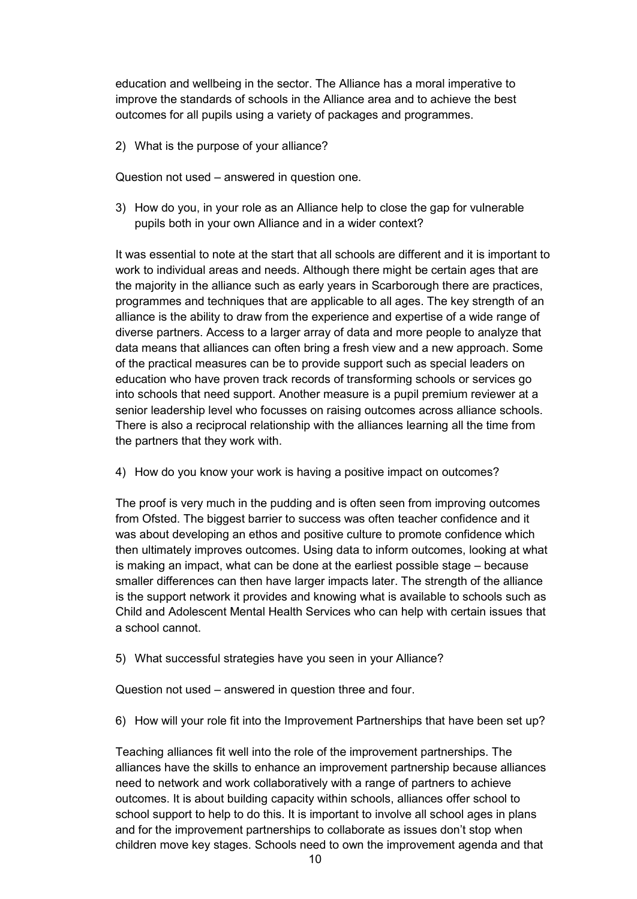education and wellbeing in the sector. The Alliance has a moral imperative to improve the standards of schools in the Alliance area and to achieve the best outcomes for all pupils using a variety of packages and programmes.

2) What is the purpose of your alliance?

Question not used – answered in question one.

3) How do you, in your role as an Alliance help to close the gap for vulnerable pupils both in your own Alliance and in a wider context?

It was essential to note at the start that all schools are different and it is important to work to individual areas and needs. Although there might be certain ages that are the majority in the alliance such as early years in Scarborough there are practices, programmes and techniques that are applicable to all ages. The key strength of an alliance is the ability to draw from the experience and expertise of a wide range of diverse partners. Access to a larger array of data and more people to analyze that data means that alliances can often bring a fresh view and a new approach. Some of the practical measures can be to provide support such as special leaders on education who have proven track records of transforming schools or services go into schools that need support. Another measure is a pupil premium reviewer at a senior leadership level who focusses on raising outcomes across alliance schools. There is also a reciprocal relationship with the alliances learning all the time from the partners that they work with.

4) How do you know your work is having a positive impact on outcomes?

The proof is very much in the pudding and is often seen from improving outcomes from Ofsted. The biggest barrier to success was often teacher confidence and it was about developing an ethos and positive culture to promote confidence which then ultimately improves outcomes. Using data to inform outcomes, looking at what is making an impact, what can be done at the earliest possible stage – because smaller differences can then have larger impacts later. The strength of the alliance is the support network it provides and knowing what is available to schools such as Child and Adolescent Mental Health Services who can help with certain issues that a school cannot.

5) What successful strategies have you seen in your Alliance?

Question not used – answered in question three and four.

6) How will your role fit into the Improvement Partnerships that have been set up?

Teaching alliances fit well into the role of the improvement partnerships. The alliances have the skills to enhance an improvement partnership because alliances need to network and work collaboratively with a range of partners to achieve outcomes. It is about building capacity within schools, alliances offer school to school support to help to do this. It is important to involve all school ages in plans and for the improvement partnerships to collaborate as issues don't stop when children move key stages. Schools need to own the improvement agenda and that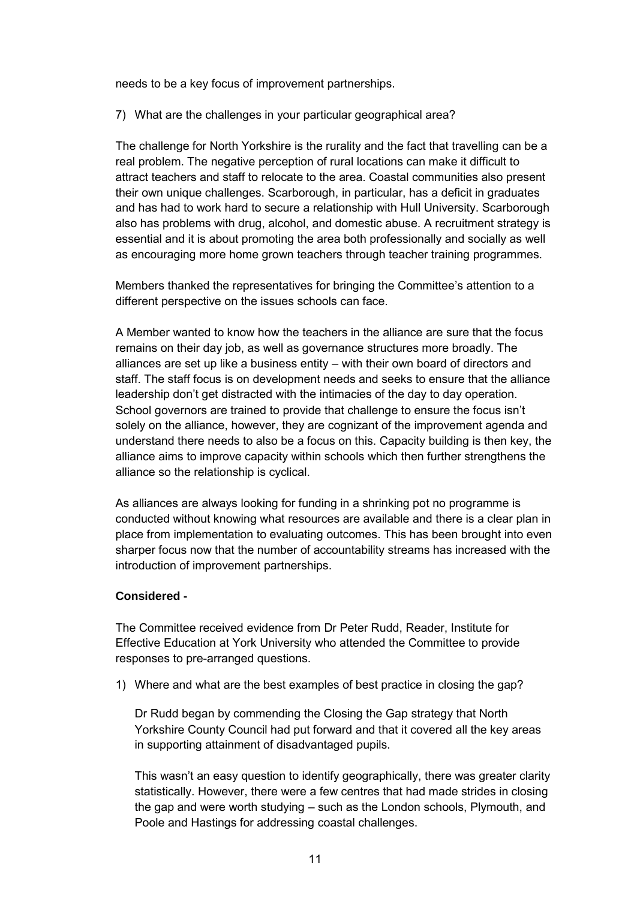needs to be a key focus of improvement partnerships.

7) What are the challenges in your particular geographical area?

The challenge for North Yorkshire is the rurality and the fact that travelling can be a real problem. The negative perception of rural locations can make it difficult to attract teachers and staff to relocate to the area. Coastal communities also present their own unique challenges. Scarborough, in particular, has a deficit in graduates and has had to work hard to secure a relationship with Hull University. Scarborough also has problems with drug, alcohol, and domestic abuse. A recruitment strategy is essential and it is about promoting the area both professionally and socially as well as encouraging more home grown teachers through teacher training programmes.

Members thanked the representatives for bringing the Committee's attention to a different perspective on the issues schools can face.

A Member wanted to know how the teachers in the alliance are sure that the focus remains on their day job, as well as governance structures more broadly. The alliances are set up like a business entity – with their own board of directors and staff. The staff focus is on development needs and seeks to ensure that the alliance leadership don't get distracted with the intimacies of the day to day operation. School governors are trained to provide that challenge to ensure the focus isn't solely on the alliance, however, they are cognizant of the improvement agenda and understand there needs to also be a focus on this. Capacity building is then key, the alliance aims to improve capacity within schools which then further strengthens the alliance so the relationship is cyclical.

As alliances are always looking for funding in a shrinking pot no programme is conducted without knowing what resources are available and there is a clear plan in place from implementation to evaluating outcomes. This has been brought into even sharper focus now that the number of accountability streams has increased with the introduction of improvement partnerships.

## **Considered -**

The Committee received evidence from Dr Peter Rudd, Reader, Institute for Effective Education at York University who attended the Committee to provide responses to pre-arranged questions.

1) Where and what are the best examples of best practice in closing the gap?

Dr Rudd began by commending the Closing the Gap strategy that North Yorkshire County Council had put forward and that it covered all the key areas in supporting attainment of disadvantaged pupils.

This wasn't an easy question to identify geographically, there was greater clarity statistically. However, there were a few centres that had made strides in closing the gap and were worth studying – such as the London schools, Plymouth, and Poole and Hastings for addressing coastal challenges.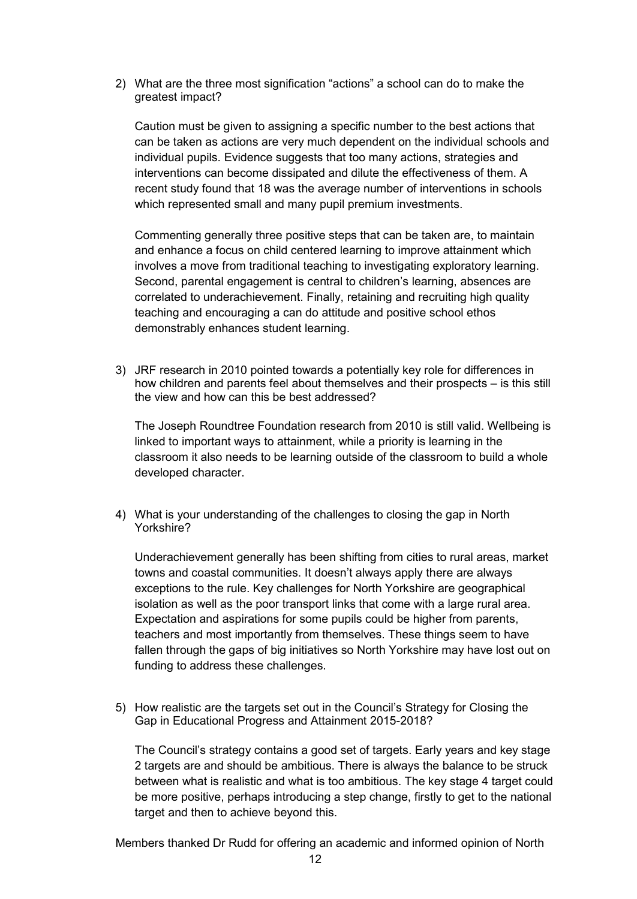2) What are the three most signification "actions" a school can do to make the greatest impact?

Caution must be given to assigning a specific number to the best actions that can be taken as actions are very much dependent on the individual schools and individual pupils. Evidence suggests that too many actions, strategies and interventions can become dissipated and dilute the effectiveness of them. A recent study found that 18 was the average number of interventions in schools which represented small and many pupil premium investments.

Commenting generally three positive steps that can be taken are, to maintain and enhance a focus on child centered learning to improve attainment which involves a move from traditional teaching to investigating exploratory learning. Second, parental engagement is central to children's learning, absences are correlated to underachievement. Finally, retaining and recruiting high quality teaching and encouraging a can do attitude and positive school ethos demonstrably enhances student learning.

3) JRF research in 2010 pointed towards a potentially key role for differences in how children and parents feel about themselves and their prospects – is this still the view and how can this be best addressed?

The Joseph Roundtree Foundation research from 2010 is still valid. Wellbeing is linked to important ways to attainment, while a priority is learning in the classroom it also needs to be learning outside of the classroom to build a whole developed character.

4) What is your understanding of the challenges to closing the gap in North Yorkshire?

Underachievement generally has been shifting from cities to rural areas, market towns and coastal communities. It doesn't always apply there are always exceptions to the rule. Key challenges for North Yorkshire are geographical isolation as well as the poor transport links that come with a large rural area. Expectation and aspirations for some pupils could be higher from parents, teachers and most importantly from themselves. These things seem to have fallen through the gaps of big initiatives so North Yorkshire may have lost out on funding to address these challenges.

5) How realistic are the targets set out in the Council's Strategy for Closing the Gap in Educational Progress and Attainment 2015-2018?

The Council's strategy contains a good set of targets. Early years and key stage 2 targets are and should be ambitious. There is always the balance to be struck between what is realistic and what is too ambitious. The key stage 4 target could be more positive, perhaps introducing a step change, firstly to get to the national target and then to achieve beyond this.

Members thanked Dr Rudd for offering an academic and informed opinion of North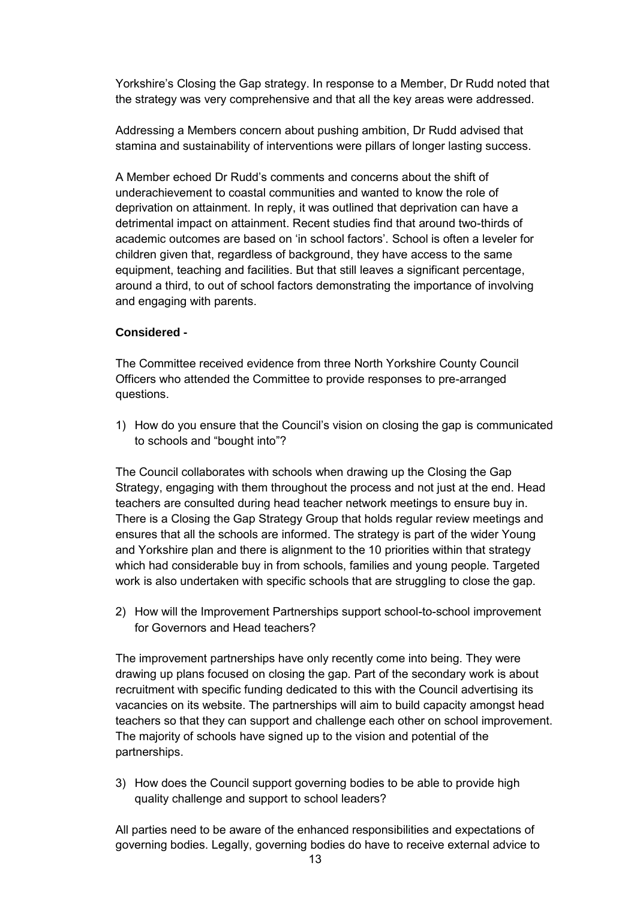Yorkshire's Closing the Gap strategy. In response to a Member, Dr Rudd noted that the strategy was very comprehensive and that all the key areas were addressed.

Addressing a Members concern about pushing ambition, Dr Rudd advised that stamina and sustainability of interventions were pillars of longer lasting success.

A Member echoed Dr Rudd's comments and concerns about the shift of underachievement to coastal communities and wanted to know the role of deprivation on attainment. In reply, it was outlined that deprivation can have a detrimental impact on attainment. Recent studies find that around two-thirds of academic outcomes are based on 'in school factors'. School is often a leveler for children given that, regardless of background, they have access to the same equipment, teaching and facilities. But that still leaves a significant percentage, around a third, to out of school factors demonstrating the importance of involving and engaging with parents.

# **Considered -**

The Committee received evidence from three North Yorkshire County Council Officers who attended the Committee to provide responses to pre-arranged questions.

1) How do you ensure that the Council's vision on closing the gap is communicated to schools and "bought into"?

The Council collaborates with schools when drawing up the Closing the Gap Strategy, engaging with them throughout the process and not just at the end. Head teachers are consulted during head teacher network meetings to ensure buy in. There is a Closing the Gap Strategy Group that holds regular review meetings and ensures that all the schools are informed. The strategy is part of the wider Young and Yorkshire plan and there is alignment to the 10 priorities within that strategy which had considerable buy in from schools, families and young people. Targeted work is also undertaken with specific schools that are struggling to close the gap.

2) How will the Improvement Partnerships support school-to-school improvement for Governors and Head teachers?

The improvement partnerships have only recently come into being. They were drawing up plans focused on closing the gap. Part of the secondary work is about recruitment with specific funding dedicated to this with the Council advertising its vacancies on its website. The partnerships will aim to build capacity amongst head teachers so that they can support and challenge each other on school improvement. The majority of schools have signed up to the vision and potential of the partnerships.

3) How does the Council support governing bodies to be able to provide high quality challenge and support to school leaders?

All parties need to be aware of the enhanced responsibilities and expectations of governing bodies. Legally, governing bodies do have to receive external advice to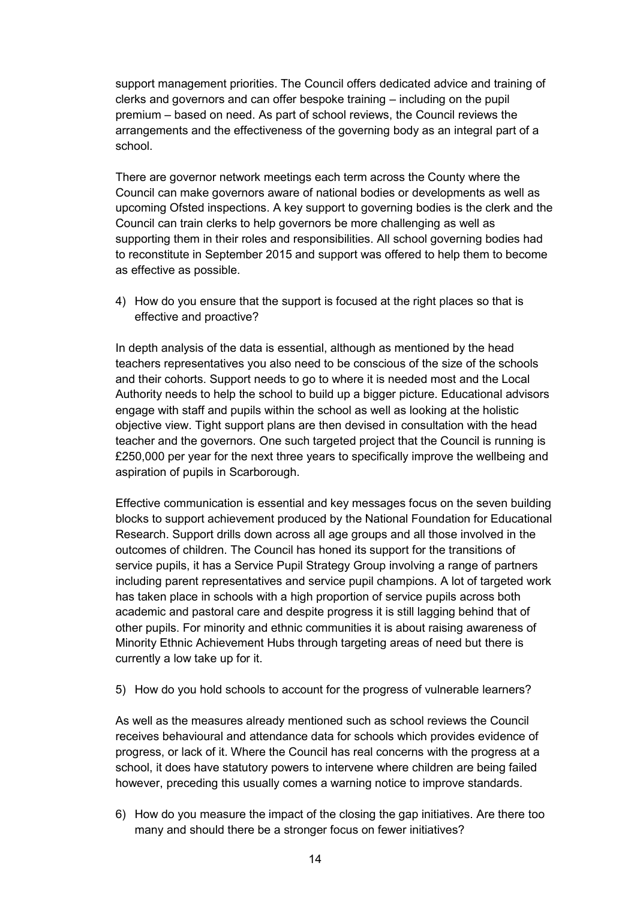support management priorities. The Council offers dedicated advice and training of clerks and governors and can offer bespoke training – including on the pupil premium – based on need. As part of school reviews, the Council reviews the arrangements and the effectiveness of the governing body as an integral part of a school.

There are governor network meetings each term across the County where the Council can make governors aware of national bodies or developments as well as upcoming Ofsted inspections. A key support to governing bodies is the clerk and the Council can train clerks to help governors be more challenging as well as supporting them in their roles and responsibilities. All school governing bodies had to reconstitute in September 2015 and support was offered to help them to become as effective as possible.

4) How do you ensure that the support is focused at the right places so that is effective and proactive?

In depth analysis of the data is essential, although as mentioned by the head teachers representatives you also need to be conscious of the size of the schools and their cohorts. Support needs to go to where it is needed most and the Local Authority needs to help the school to build up a bigger picture. Educational advisors engage with staff and pupils within the school as well as looking at the holistic objective view. Tight support plans are then devised in consultation with the head teacher and the governors. One such targeted project that the Council is running is £250,000 per year for the next three years to specifically improve the wellbeing and aspiration of pupils in Scarborough.

Effective communication is essential and key messages focus on the seven building blocks to support achievement produced by the National Foundation for Educational Research. Support drills down across all age groups and all those involved in the outcomes of children. The Council has honed its support for the transitions of service pupils, it has a Service Pupil Strategy Group involving a range of partners including parent representatives and service pupil champions. A lot of targeted work has taken place in schools with a high proportion of service pupils across both academic and pastoral care and despite progress it is still lagging behind that of other pupils. For minority and ethnic communities it is about raising awareness of Minority Ethnic Achievement Hubs through targeting areas of need but there is currently a low take up for it.

5) How do you hold schools to account for the progress of vulnerable learners?

As well as the measures already mentioned such as school reviews the Council receives behavioural and attendance data for schools which provides evidence of progress, or lack of it. Where the Council has real concerns with the progress at a school, it does have statutory powers to intervene where children are being failed however, preceding this usually comes a warning notice to improve standards.

6) How do you measure the impact of the closing the gap initiatives. Are there too many and should there be a stronger focus on fewer initiatives?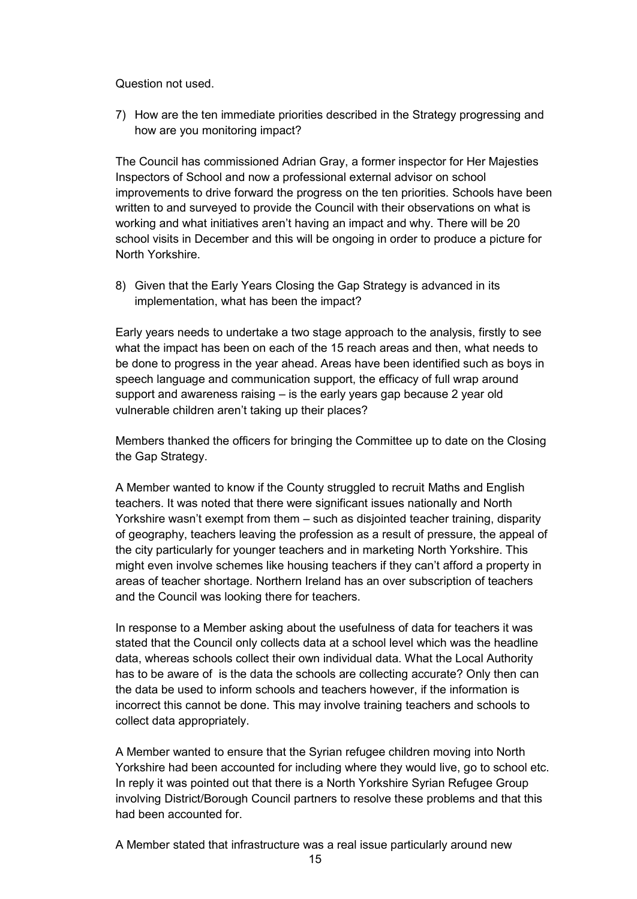Question not used.

7) How are the ten immediate priorities described in the Strategy progressing and how are you monitoring impact?

The Council has commissioned Adrian Gray, a former inspector for Her Majesties Inspectors of School and now a professional external advisor on school improvements to drive forward the progress on the ten priorities. Schools have been written to and surveyed to provide the Council with their observations on what is working and what initiatives aren't having an impact and why. There will be 20 school visits in December and this will be ongoing in order to produce a picture for North Yorkshire.

8) Given that the Early Years Closing the Gap Strategy is advanced in its implementation, what has been the impact?

Early years needs to undertake a two stage approach to the analysis, firstly to see what the impact has been on each of the 15 reach areas and then, what needs to be done to progress in the year ahead. Areas have been identified such as boys in speech language and communication support, the efficacy of full wrap around support and awareness raising – is the early years gap because 2 year old vulnerable children aren't taking up their places?

Members thanked the officers for bringing the Committee up to date on the Closing the Gap Strategy.

A Member wanted to know if the County struggled to recruit Maths and English teachers. It was noted that there were significant issues nationally and North Yorkshire wasn't exempt from them – such as disjointed teacher training, disparity of geography, teachers leaving the profession as a result of pressure, the appeal of the city particularly for younger teachers and in marketing North Yorkshire. This might even involve schemes like housing teachers if they can't afford a property in areas of teacher shortage. Northern Ireland has an over subscription of teachers and the Council was looking there for teachers.

In response to a Member asking about the usefulness of data for teachers it was stated that the Council only collects data at a school level which was the headline data, whereas schools collect their own individual data. What the Local Authority has to be aware of is the data the schools are collecting accurate? Only then can the data be used to inform schools and teachers however, if the information is incorrect this cannot be done. This may involve training teachers and schools to collect data appropriately.

A Member wanted to ensure that the Syrian refugee children moving into North Yorkshire had been accounted for including where they would live, go to school etc. In reply it was pointed out that there is a North Yorkshire Syrian Refugee Group involving District/Borough Council partners to resolve these problems and that this had been accounted for.

A Member stated that infrastructure was a real issue particularly around new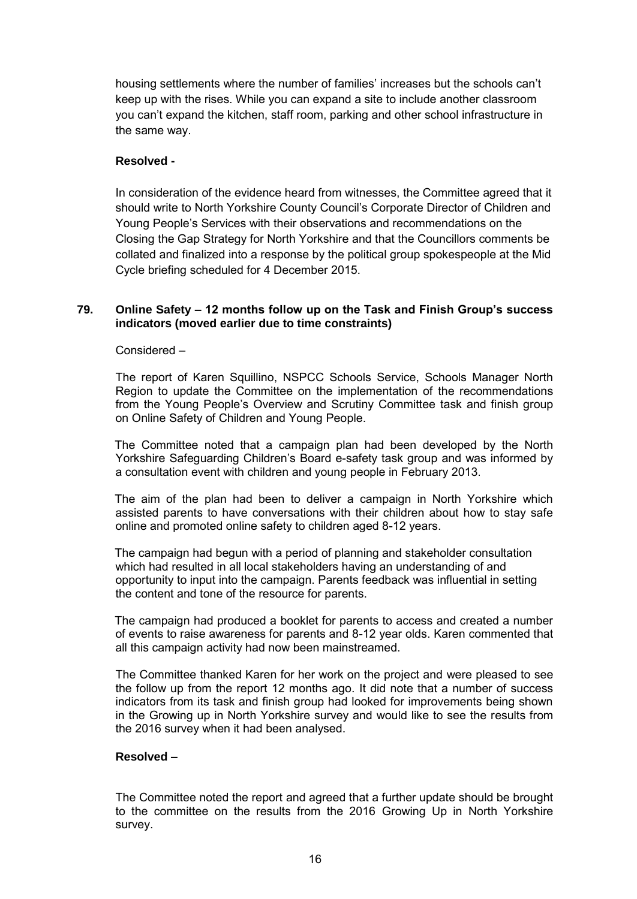housing settlements where the number of families' increases but the schools can't keep up with the rises. While you can expand a site to include another classroom you can't expand the kitchen, staff room, parking and other school infrastructure in the same way.

# **Resolved -**

In consideration of the evidence heard from witnesses, the Committee agreed that it should write to North Yorkshire County Council's Corporate Director of Children and Young People's Services with their observations and recommendations on the Closing the Gap Strategy for North Yorkshire and that the Councillors comments be collated and finalized into a response by the political group spokespeople at the Mid Cycle briefing scheduled for 4 December 2015.

## **79. Online Safety – 12 months follow up on the Task and Finish Group's success indicators (moved earlier due to time constraints)**

#### Considered –

 The report of Karen Squillino, NSPCC Schools Service, Schools Manager North Region to update the Committee on the implementation of the recommendations from the Young People's Overview and Scrutiny Committee task and finish group on Online Safety of Children and Young People.

The Committee noted that a campaign plan had been developed by the North Yorkshire Safeguarding Children's Board e-safety task group and was informed by a consultation event with children and young people in February 2013.

The aim of the plan had been to deliver a campaign in North Yorkshire which assisted parents to have conversations with their children about how to stay safe online and promoted online safety to children aged 8-12 years.

The campaign had begun with a period of planning and stakeholder consultation which had resulted in all local stakeholders having an understanding of and opportunity to input into the campaign. Parents feedback was influential in setting the content and tone of the resource for parents.

The campaign had produced a booklet for parents to access and created a number of events to raise awareness for parents and 8-12 year olds. Karen commented that all this campaign activity had now been mainstreamed.

The Committee thanked Karen for her work on the project and were pleased to see the follow up from the report 12 months ago. It did note that a number of success indicators from its task and finish group had looked for improvements being shown in the Growing up in North Yorkshire survey and would like to see the results from the 2016 survey when it had been analysed.

## **Resolved –**

The Committee noted the report and agreed that a further update should be brought to the committee on the results from the 2016 Growing Up in North Yorkshire survey.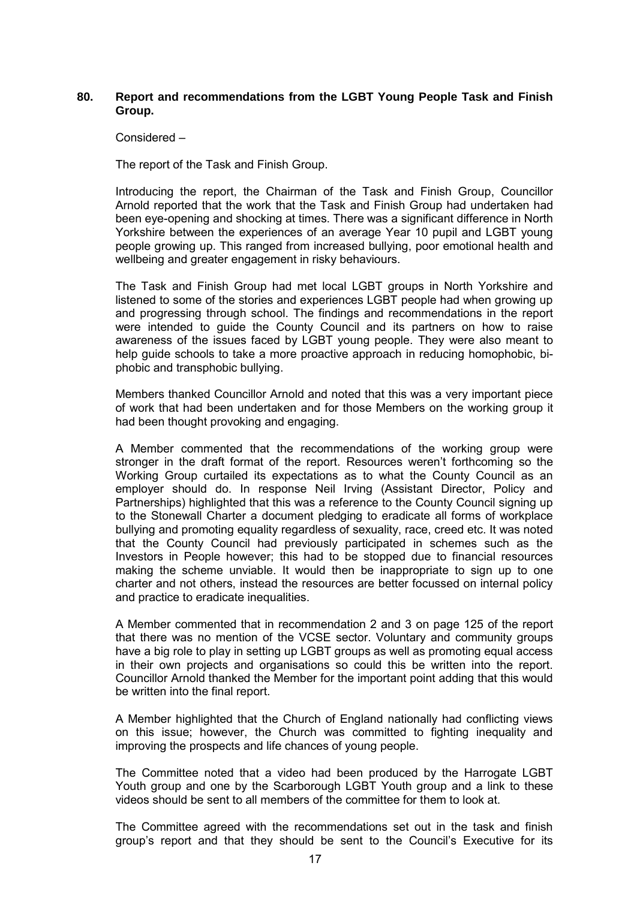## **80. Report and recommendations from the LGBT Young People Task and Finish Group.**

Considered –

The report of the Task and Finish Group.

Introducing the report, the Chairman of the Task and Finish Group, Councillor Arnold reported that the work that the Task and Finish Group had undertaken had been eye-opening and shocking at times. There was a significant difference in North Yorkshire between the experiences of an average Year 10 pupil and LGBT young people growing up. This ranged from increased bullying, poor emotional health and wellbeing and greater engagement in risky behaviours.

The Task and Finish Group had met local LGBT groups in North Yorkshire and listened to some of the stories and experiences LGBT people had when growing up and progressing through school. The findings and recommendations in the report were intended to guide the County Council and its partners on how to raise awareness of the issues faced by LGBT young people. They were also meant to help guide schools to take a more proactive approach in reducing homophobic, biphobic and transphobic bullying.

Members thanked Councillor Arnold and noted that this was a very important piece of work that had been undertaken and for those Members on the working group it had been thought provoking and engaging.

A Member commented that the recommendations of the working group were stronger in the draft format of the report. Resources weren't forthcoming so the Working Group curtailed its expectations as to what the County Council as an employer should do. In response Neil Irving (Assistant Director, Policy and Partnerships) highlighted that this was a reference to the County Council signing up to the Stonewall Charter a document pledging to eradicate all forms of workplace bullying and promoting equality regardless of sexuality, race, creed etc. It was noted that the County Council had previously participated in schemes such as the Investors in People however; this had to be stopped due to financial resources making the scheme unviable. It would then be inappropriate to sign up to one charter and not others, instead the resources are better focussed on internal policy and practice to eradicate inequalities.

A Member commented that in recommendation 2 and 3 on page 125 of the report that there was no mention of the VCSE sector. Voluntary and community groups have a big role to play in setting up LGBT groups as well as promoting equal access in their own projects and organisations so could this be written into the report. Councillor Arnold thanked the Member for the important point adding that this would be written into the final report.

A Member highlighted that the Church of England nationally had conflicting views on this issue; however, the Church was committed to fighting inequality and improving the prospects and life chances of young people.

The Committee noted that a video had been produced by the Harrogate LGBT Youth group and one by the Scarborough LGBT Youth group and a link to these videos should be sent to all members of the committee for them to look at.

The Committee agreed with the recommendations set out in the task and finish group's report and that they should be sent to the Council's Executive for its